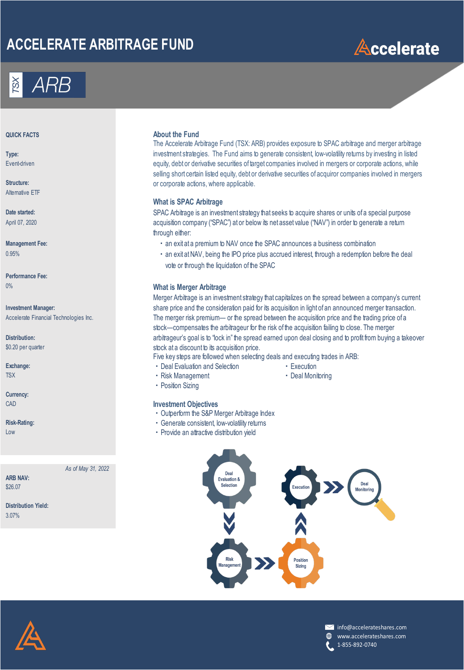# **ACCELERATE ARBITRAGE FUND**





**Type:** Event-driven

**Structure:** Alternative ETF

**Date started:** April 07, 2020

**Performance Fee:**

**Investment Manager:** Accelerate Financial Technologies Inc.

**Distribution:** \$0.20 per quarter

**Currency:**

*As of May 31, 2022*

**ARB NAV:** \$26.07

**Distribution Yield:** 3.07%

#### **About the Fund About the Fund**

The Accelerate Arbitrage Fund (TSX: ARB) provides exposure to SPAC arbitrage and merger arbitrage investment strategies. The Fund aims to generate consistent, low-volatility returns by investing in listed equity, debt or derivative securities of target companies involved in mergers or corporate actions, while selling short certain listed equity, debt or derivative securities of acquiror companies involved in mergers or corporate actions, where applicable.

#### **What is SPAC Arbitrage**

SPAC Arbitrage is an investment strategy that seeks to acquire shares or units of a special purpose acquisition company ("SPAC") at or below its net asset value ("NAV") in order to generate a return through either:

- **Management Fee: exity and a structure of the SPAC announces a business combination combination c** and exit at a premium to NAV once the SPAC announces a business combination
- 0.95% **1.95% 1.95% 1.95% 1.95% 1.95% 1.95% 1.95% 1.95% 1.95% 1.95% 1.95% 1.95% 1.95% 1.95% 1.95% 1.95% 1.95% 1.95% 1.95% 1.95% 1.95% 1.95% 1.95% 1.95% 1.95% 1.95% 1.95% 1.95% 1.95% 1.95% 1.95% 1.95% 1.95% 1.95% 1.95% 1.95%** vote or through the liquidation of the SPAC

#### 0% **What is Merger Arbitrage**

Merger Arbitrage is an investment strategy that capitalizes on the spread between a company's current share price and the consideration paid for its acquisition in light of an announced merger transaction. The merger risk premium— or the spread between the acquisition price and the trading price of a stock—compensates the arbitrageur for the risk of the acquisition failing to close. The merger arbitrageur's goal is to "lock in" the spread earned upon deal closing and to profit from buying a takeover stock at a discount to its acquisition price.

Five key steps are followed when selecting deals and executing trades in ARB:

- **Exchange:** ・Deal Evaluation and Selection ・Execution
	-
- TSX **1999 TEX** 1999 TERRIS TO THE RISK Management 1999 TERRIS TO THE RISK MANAGEMENT OF THE RISK MANAGEMENT OF THE RISK MANAGEMENT OF THE RISK MANAGEMENT OF THE RISK MANAGEMENT OF THE RISK MANAGEMENT OF THE RISK MANAGEMENT

・Position Sizing

#### CAD **Investment Objectives**

- ・Outperform the S&P Merger Arbitrage Index
- Risk-Rating: **Night Constructs and Constructs of Constructs and Constructs and Consistent, low-volatility returns**
- Low **EXECUTE:** The contractive distribution yield